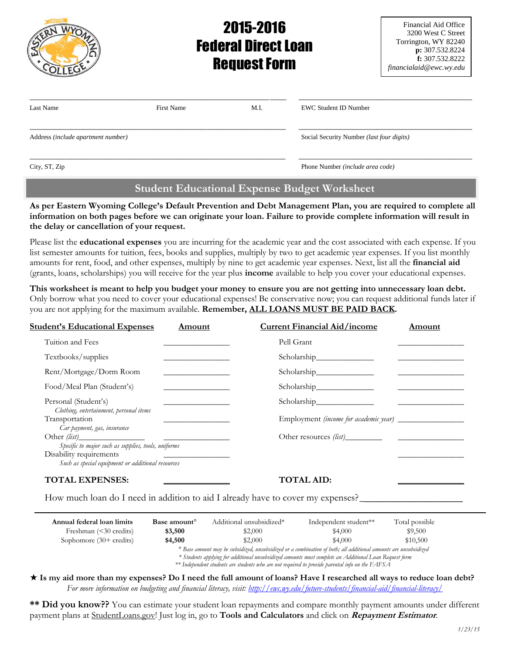|                                    | <b>Federal Direct Loan</b><br><b>Request Form</b> | Financial Aid Office<br>3200 West C Street<br>Torrington, WY 82240<br>p: 307.532.8224<br>f: $307.532.8222$<br>financialaid@ewc.wy.edu |                                           |  |
|------------------------------------|---------------------------------------------------|---------------------------------------------------------------------------------------------------------------------------------------|-------------------------------------------|--|
| Last Name                          | <b>First Name</b>                                 | M.I.                                                                                                                                  | <b>EWC Student ID Number</b>              |  |
| Address (include apartment number) |                                                   |                                                                                                                                       | Social Security Number (last four digits) |  |
| City, ST, Zip                      |                                                   |                                                                                                                                       | Phone Number (include area code)          |  |

# **Student Educational Expense Budget Worksheet**

**As per Eastern Wyoming College's Default Prevention and Debt Management Plan, you are required to complete all information on both pages before we can originate your loan. Failure to provide complete information will result in the delay or cancellation of your request.**

Please list the **educational expenses** you are incurring for the academic year and the cost associated with each expense. If you list semester amounts for tuition, fees, books and supplies, multiply by two to get academic year expenses. If you list monthly amounts for rent, food, and other expenses, multiply by nine to get academic year expenses. Next, list all the **financial aid** (grants, loans, scholarships) you will receive for the year plus **income** available to help you cover your educational expenses.

**This worksheet is meant to help you budget your money to ensure you are not getting into unnecessary loan debt.**  Only borrow what you need to cover your educational expenses! Be conservative now; you can request additional funds later if you are not applying for the maximum available. **Remember, ALL LOANS MUST BE PAID BACK.**

| <b>Student's Educational Expenses</b><br>Amount                                                                                     |  | <b>Current Financial Aid/income</b> | Amount |
|-------------------------------------------------------------------------------------------------------------------------------------|--|-------------------------------------|--------|
| Tuition and Fees                                                                                                                    |  | Pell Grant                          |        |
| Textbooks/supplies                                                                                                                  |  |                                     |        |
| Rent/Mortgage/Dorm Room                                                                                                             |  |                                     |        |
| Food/Meal Plan (Student's)                                                                                                          |  |                                     |        |
| Personal (Student's)<br>Clothing, entertainment, personal items                                                                     |  |                                     |        |
| Transportation<br>Car payment, gas, insurance                                                                                       |  |                                     |        |
|                                                                                                                                     |  |                                     |        |
| Specific to major such as supplies, tools, uniforms<br>Disability requirements<br>Such as special equipment or additional resources |  |                                     |        |
| <b>TOTAL EXPENSES:</b>                                                                                                              |  | <b>TOTAL AID:</b>                   |        |

How much loan do I need in addition to aid I already have to cover my expenses?

| Annual federal loan limits        | Base amount <sup>o</sup> | Additional unsubsidized*                                                                                                                                               | Independent student** | Total possible |
|-----------------------------------|--------------------------|------------------------------------------------------------------------------------------------------------------------------------------------------------------------|-----------------------|----------------|
| Freshman $(30 credits)$           | \$3,500                  | \$2,000                                                                                                                                                                | \$4,000               | \$9,500        |
| Sophomore $(30 + \text{credits})$ | \$4,500                  | \$2,000                                                                                                                                                                | \$4.000               | \$10,500       |
|                                   |                          | <sup>o</sup> Base amount may be subsidized, unsubsidized or a combination of both; all additional amounts are unsubsidized<br>40.1.1.1.0 TP: 1 TP: 1  1.1. ATP: IT D.C |                       |                |

*\* Students applying for additional unsubsidized amounts must complete an Additional Loan Request form*

*\*\* Independent students are students who are not required to provide parental info on the FAFSA*

### **Is my aid more than my expenses? Do I need the full amount of loans? Have I researched all ways to reduce loan debt?** *For more information on budgeting and financial literacy, visit:<http://ewc.wy.edu/future-students/financial-aid/financial-literacy/>*

**\*\* Did you know??** You can estimate your student loan repayments and compare monthly payment amounts under different payment plans at StudentLoans.gov! Just log in, go to **Tools and Calculators** and click on **Repayment Estimator**.